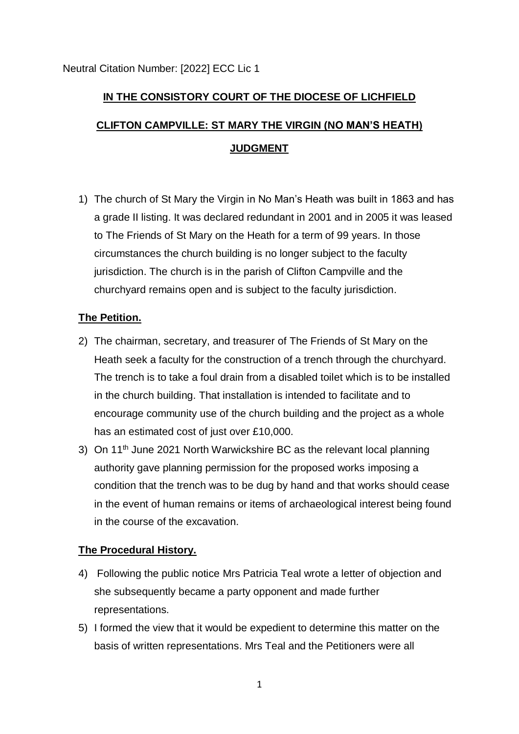# **IN THE CONSISTORY COURT OF THE DIOCESE OF LICHFIELD CLIFTON CAMPVILLE: ST MARY THE VIRGIN (NO MAN'S HEATH) JUDGMENT**

1) The church of St Mary the Virgin in No Man's Heath was built in 1863 and has a grade II listing. It was declared redundant in 2001 and in 2005 it was leased to The Friends of St Mary on the Heath for a term of 99 years. In those circumstances the church building is no longer subject to the faculty jurisdiction. The church is in the parish of Clifton Campville and the churchyard remains open and is subject to the faculty jurisdiction.

## **The Petition.**

- 2) The chairman, secretary, and treasurer of The Friends of St Mary on the Heath seek a faculty for the construction of a trench through the churchyard. The trench is to take a foul drain from a disabled toilet which is to be installed in the church building. That installation is intended to facilitate and to encourage community use of the church building and the project as a whole has an estimated cost of just over £10,000.
- 3) On 11<sup>th</sup> June 2021 North Warwickshire BC as the relevant local planning authority gave planning permission for the proposed works imposing a condition that the trench was to be dug by hand and that works should cease in the event of human remains or items of archaeological interest being found in the course of the excavation.

## **The Procedural History.**

- 4) Following the public notice Mrs Patricia Teal wrote a letter of objection and she subsequently became a party opponent and made further representations.
- 5) I formed the view that it would be expedient to determine this matter on the basis of written representations. Mrs Teal and the Petitioners were all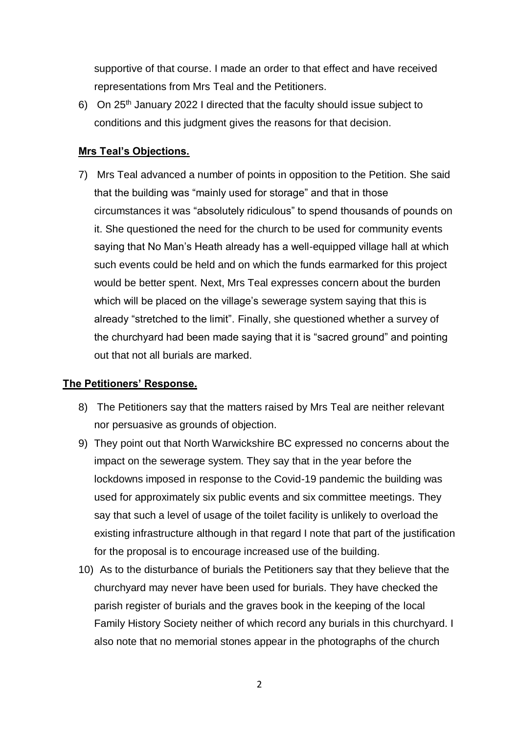supportive of that course. I made an order to that effect and have received representations from Mrs Teal and the Petitioners.

6) On 25th January 2022 I directed that the faculty should issue subject to conditions and this judgment gives the reasons for that decision.

### **Mrs Teal's Objections.**

7) Mrs Teal advanced a number of points in opposition to the Petition. She said that the building was "mainly used for storage" and that in those circumstances it was "absolutely ridiculous" to spend thousands of pounds on it. She questioned the need for the church to be used for community events saying that No Man's Heath already has a well-equipped village hall at which such events could be held and on which the funds earmarked for this project would be better spent. Next, Mrs Teal expresses concern about the burden which will be placed on the village's sewerage system saying that this is already "stretched to the limit". Finally, she questioned whether a survey of the churchyard had been made saying that it is "sacred ground" and pointing out that not all burials are marked.

### **The Petitioners' Response.**

- 8) The Petitioners say that the matters raised by Mrs Teal are neither relevant nor persuasive as grounds of objection.
- 9) They point out that North Warwickshire BC expressed no concerns about the impact on the sewerage system. They say that in the year before the lockdowns imposed in response to the Covid-19 pandemic the building was used for approximately six public events and six committee meetings. They say that such a level of usage of the toilet facility is unlikely to overload the existing infrastructure although in that regard I note that part of the justification for the proposal is to encourage increased use of the building.
- 10) As to the disturbance of burials the Petitioners say that they believe that the churchyard may never have been used for burials. They have checked the parish register of burials and the graves book in the keeping of the local Family History Society neither of which record any burials in this churchyard. I also note that no memorial stones appear in the photographs of the church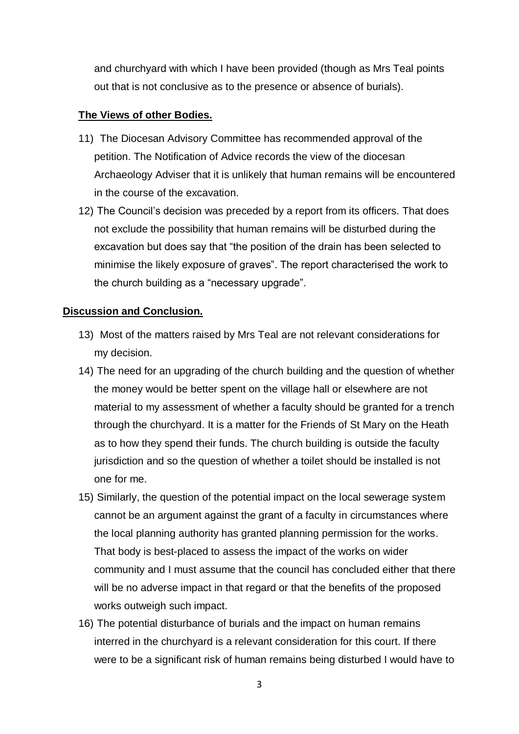and churchyard with which I have been provided (though as Mrs Teal points out that is not conclusive as to the presence or absence of burials).

### **The Views of other Bodies.**

- 11) The Diocesan Advisory Committee has recommended approval of the petition. The Notification of Advice records the view of the diocesan Archaeology Adviser that it is unlikely that human remains will be encountered in the course of the excavation.
- 12) The Council's decision was preceded by a report from its officers. That does not exclude the possibility that human remains will be disturbed during the excavation but does say that "the position of the drain has been selected to minimise the likely exposure of graves". The report characterised the work to the church building as a "necessary upgrade".

#### **Discussion and Conclusion.**

- 13) Most of the matters raised by Mrs Teal are not relevant considerations for my decision.
- 14) The need for an upgrading of the church building and the question of whether the money would be better spent on the village hall or elsewhere are not material to my assessment of whether a faculty should be granted for a trench through the churchyard. It is a matter for the Friends of St Mary on the Heath as to how they spend their funds. The church building is outside the faculty jurisdiction and so the question of whether a toilet should be installed is not one for me.
- 15) Similarly, the question of the potential impact on the local sewerage system cannot be an argument against the grant of a faculty in circumstances where the local planning authority has granted planning permission for the works. That body is best-placed to assess the impact of the works on wider community and I must assume that the council has concluded either that there will be no adverse impact in that regard or that the benefits of the proposed works outweigh such impact.
- 16) The potential disturbance of burials and the impact on human remains interred in the churchyard is a relevant consideration for this court. If there were to be a significant risk of human remains being disturbed I would have to